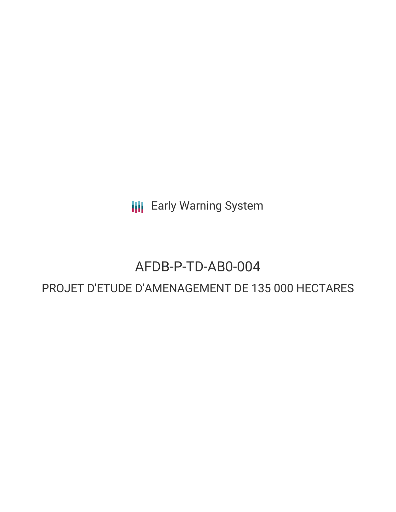**III** Early Warning System

# AFDB-P-TD-AB0-004

# PROJET D'ETUDE D'AMENAGEMENT DE 135 000 HECTARES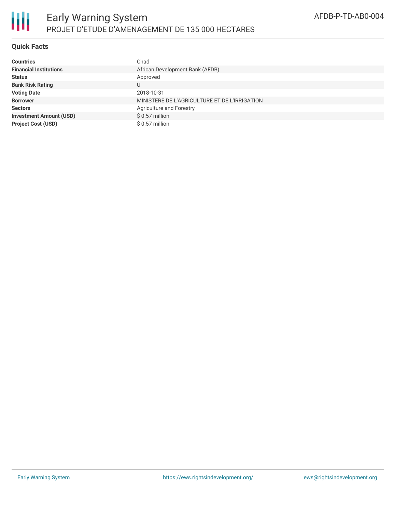

## **Quick Facts**

| <b>Countries</b>               | Chad                                          |
|--------------------------------|-----------------------------------------------|
| <b>Financial Institutions</b>  | African Development Bank (AFDB)               |
| <b>Status</b>                  | Approved                                      |
| <b>Bank Risk Rating</b>        |                                               |
| <b>Voting Date</b>             | 2018-10-31                                    |
| <b>Borrower</b>                | MINISTERE DE L'AGRICULTURE ET DE L'IRRIGATION |
| <b>Sectors</b>                 | Agriculture and Forestry                      |
| <b>Investment Amount (USD)</b> | $$0.57$ million                               |
| <b>Project Cost (USD)</b>      | $$0.57$ million                               |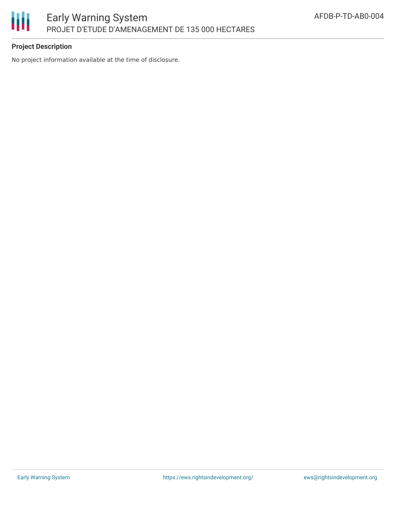

# **Project Description**

No project information available at the time of disclosure.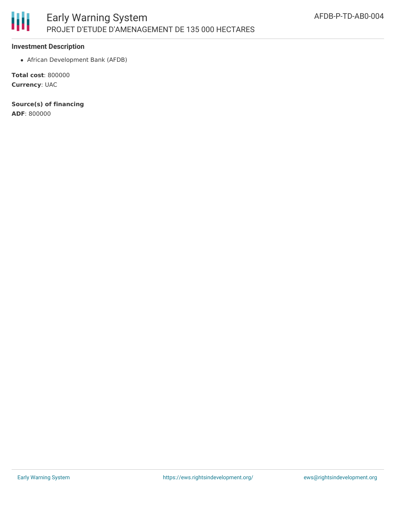

#### **Investment Description**

African Development Bank (AFDB)

**Total cost**: 800000 **Currency**: UAC

**Source(s) of financing**

**ADF**: 800000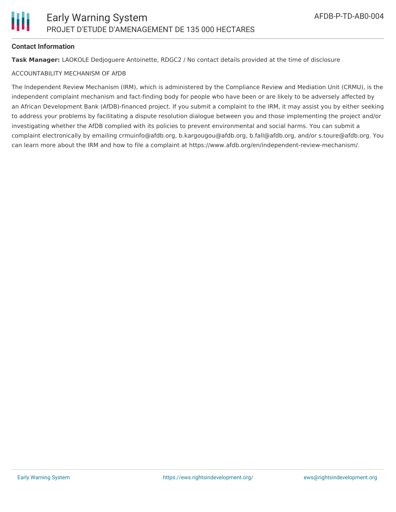#### **Contact Information**

**Task Manager:** LAOKOLE Dedjoguere Antoinette, RDGC2 / No contact details provided at the time of disclosure

#### ACCOUNTABILITY MECHANISM OF AfDB

The Independent Review Mechanism (IRM), which is administered by the Compliance Review and Mediation Unit (CRMU), is the independent complaint mechanism and fact-finding body for people who have been or are likely to be adversely affected by an African Development Bank (AfDB)-financed project. If you submit a complaint to the IRM, it may assist you by either seeking to address your problems by facilitating a dispute resolution dialogue between you and those implementing the project and/or investigating whether the AfDB complied with its policies to prevent environmental and social harms. You can submit a complaint electronically by emailing crmuinfo@afdb.org, b.kargougou@afdb.org, b.fall@afdb.org, and/or s.toure@afdb.org. You can learn more about the IRM and how to file a complaint at https://www.afdb.org/en/independent-review-mechanism/.